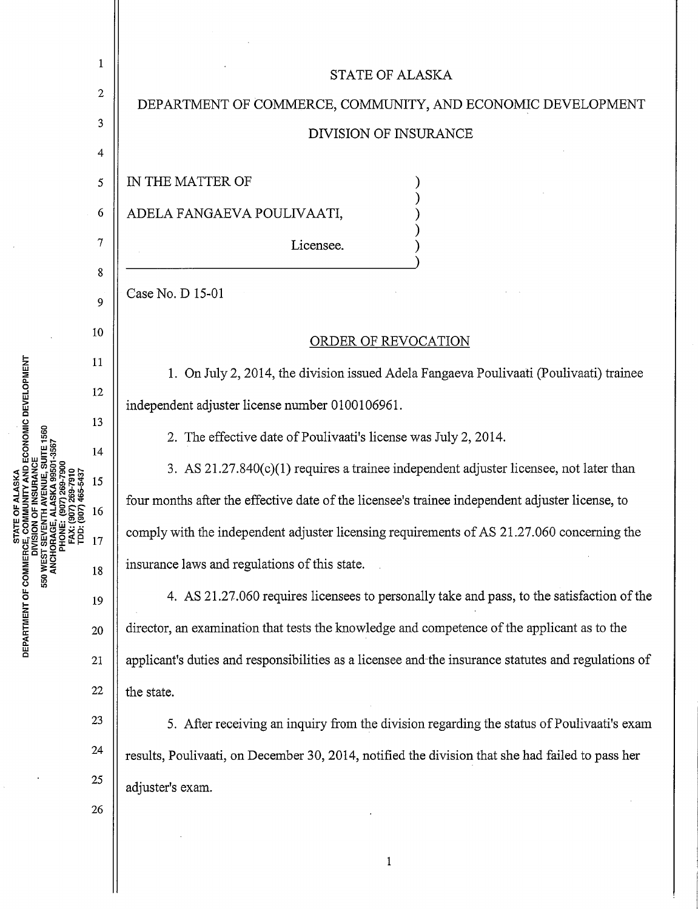| ECONOMIC DEVELOPMENT<br><b>STATE</b><br>E, COM<br>ISION C<br>DEPARTMENT OF COMMERC<br>550 | 1                | <b>STATE OF ALASKA</b>                                                                              |
|-------------------------------------------------------------------------------------------|------------------|-----------------------------------------------------------------------------------------------------|
|                                                                                           | $\boldsymbol{2}$ | DEPARTMENT OF COMMERCE, COMMUNITY, AND ECONOMIC DEVELOPMENT                                         |
|                                                                                           | 3                | DIVISION OF INSURANCE                                                                               |
|                                                                                           | 4                |                                                                                                     |
|                                                                                           | 5                | IN THE MATTER OF                                                                                    |
|                                                                                           | 6                | ADELA FANGAEVA POULIVAATI,                                                                          |
|                                                                                           | 7                | Licensee.                                                                                           |
|                                                                                           | 8                | Case No. D 15-01                                                                                    |
|                                                                                           | 9                |                                                                                                     |
|                                                                                           | 10               | <b>ORDER OF REVOCATION</b>                                                                          |
|                                                                                           | 11               | 1. On July 2, 2014, the division issued Adela Fangaeva Poulivaati (Poulivaati) trainee              |
|                                                                                           | 12               | independent adjuster license number 0100106961.                                                     |
|                                                                                           | 13               | 2. The effective date of Poulivaati's license was July 2, 2014.                                     |
|                                                                                           | 14               | 3. AS 21.27.840(c)(1) requires a trainee independent adjuster licensee, not later than              |
|                                                                                           | 15               | four months after the effective date of the licensee's trainee independent adjuster license, to     |
|                                                                                           | 16               | comply with the independent adjuster licensing requirements of AS 21.27.060 concerning the          |
|                                                                                           | 17               | insurance laws and regulations of this state.                                                       |
|                                                                                           | 18               | 4. AS 21.27.060 requires licensees to personally take and pass, to the satisfaction of the          |
|                                                                                           | 19               | director, an examination that tests the knowledge and competence of the applicant as to the         |
|                                                                                           | 20               |                                                                                                     |
|                                                                                           | 21               | applicant's duties and responsibilities as a licensee and the insurance statutes and regulations of |
|                                                                                           | 22               | the state.                                                                                          |
|                                                                                           | 23               | 5. After receiving an inquiry from the division regarding the status of Poulivaati's exam           |
|                                                                                           | 24               | results, Poulivaati, on December 30, 2014, notified the division that she had failed to pass her    |
|                                                                                           | 25               | adjuster's exam.                                                                                    |
|                                                                                           | 26               |                                                                                                     |
|                                                                                           |                  |                                                                                                     |

 $\parallel$ 

 $\frac{1}{2}$ 

1